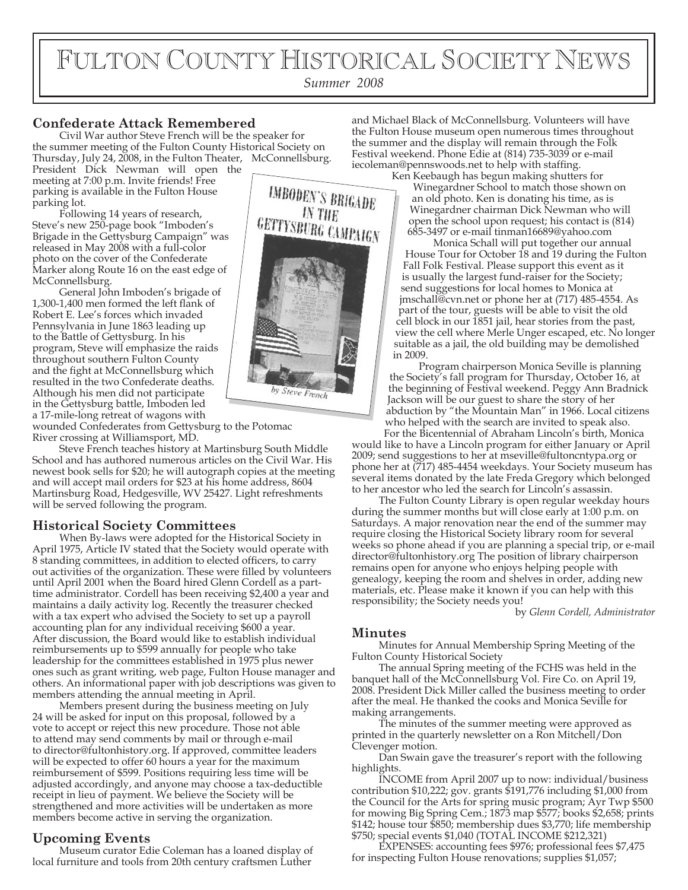# FULTON COUNTY HISTORICAL SOCIETY NEWS

*Summer 2008*

# **Confederate Attack Remembered**

Civil War author Steve French will be the speaker for the summer meeting of the Fulton County Historical Society on Thursday, July 24, 2008, in the Fulton Theater, McConnellsburg.

President Dick Newman will open the meeting at 7:00 p.m. Invite friends! Free parking is available in the Fulton House parking lot.

Following 14 years of research, Steve's new 250-page book "Imboden's Brigade in the Gettysburg Campaign" was released in May 2008 with a full-color photo on the cover of the Confederate Marker along Route 16 on the east edge of McConnellsburg.

General John Imboden's brigade of 1,300-1,400 men formed the left flank of Robert E. Lee's forces which invaded Pennsylvania in June 1863 leading up to the Battle of Gettysburg. In his program, Steve will emphasize the raids throughout southern Fulton County and the fight at McConnellsburg which resulted in the two Confederate deaths. Although his men did not participate in the Gettysburg battle, Imboden led a 17-mile-long retreat of wagons with wounded Confederates from Gettysburg to the Potomac

River crossing at Williamsport, MD.

Steve French teaches history at Martinsburg South Middle School and has authored numerous articles on the Civil War. His newest book sells for \$20; he will autograph copies at the meeting and will accept mail orders for \$23 at his home address, 8604 Martinsburg Road, Hedgesville, WV 25427. Light refreshments will be served following the program.

## **Historical Society Committees**

When By-laws were adopted for the Historical Society in April 1975, Article IV stated that the Society would operate with 8 standing committees, in addition to elected officers, to carry out activities of the organization. These were filled by volunteers until April 2001 when the Board hired Glenn Cordell as a parttime administrator. Cordell has been receiving \$2,400 a year and maintains a daily activity log. Recently the treasurer checked with a tax expert who advised the Society to set up a payroll accounting plan for any individual receiving \$600 a year. After discussion, the Board would like to establish individual reimbursements up to \$599 annually for people who take leadership for the committees established in 1975 plus newer ones such as grant writing, web page, Fulton House manager and others. An informational paper with job descriptions was given to members attending the annual meeting in April.

Members present during the business meeting on July 24 will be asked for input on this proposal, followed by a vote to accept or reject this new procedure. Those not able to attend may send comments by mail or through e-mail to director@fultonhistory.org. If approved, committee leaders will be expected to offer 60 hours a year for the maximum reimbursement of \$599. Positions requiring less time will be adjusted accordingly, and anyone may choose a tax-deductible receipt in lieu of payment. We believe the Society will be strengthened and more activities will be undertaken as more members become active in serving the organization.

### **Upcoming Events**

Museum curator Edie Coleman has a loaned display of local furniture and tools from 20th century craftsmen Luther



and Michael Black of McConnellsburg. Volunteers will have the Fulton House museum open numerous times throughout the summer and the display will remain through the Folk Festival weekend. Phone Edie at (814) 735-3039 or e-mail iecoleman@pennswoods.net to help with staffing.

Ken Keebaugh has begun making shutters for Winegardner School to match those shown on an old photo. Ken is donating his time, as is Winegardner chairman Dick Newman who will open the school upon request; his contact is (814) 685-3497 or e-mail tinman16689@yahoo.com

Monica Schall will put together our annual House Tour for October 18 and 19 during the Fulton Fall Folk Festival. Please support this event as it is usually the largest fund-raiser for the Society; send suggestions for local homes to Monica at jmschall@cvn.net or phone her at (717) 485-4554. As part of the tour, guests will be able to visit the old cell block in our 1851 jail, hear stories from the past, view the cell where Merle Unger escaped, etc. No longer suitable as a jail, the old building may be demolished in 2009.

Program chairperson Monica Seville is planning the Society's fall program for Thursday, October 16, at the beginning of Festival weekend. Peggy Ann Bradnick Jackson will be our guest to share the story of her abduction by "the Mountain Man" in 1966. Local citizens who helped with the search are invited to speak also.

For the Bicentennial of Abraham Lincoln's birth, Monica would like to have a Lincoln program for either January or April 2009; send suggestions to her at mseville@fultoncntypa.org or phone her at (717) 485-4454 weekdays. Your Society museum has several items donated by the late Freda Gregory which belonged to her ancestor who led the search for Lincoln's assassin.

The Fulton County Library is open regular weekday hours during the summer months but will close early at 1:00 p.m. on Saturdays. A major renovation near the end of the summer may require closing the Historical Society library room for several weeks so phone ahead if you are planning a special trip, or e-mail director@fultonhistory.org The position of library chairperson remains open for anyone who enjoys helping people with genealogy, keeping the room and shelves in order, adding new materials, etc. Please make it known if you can help with this responsibility; the Society needs you!

by *Glenn Cordell, Administrator*

### **Minutes**

Minutes for Annual Membership Spring Meeting of the Fulton County Historical Society

The annual Spring meeting of the FCHS was held in the banquet hall of the McConnellsburg Vol. Fire Co. on April 19, 2008. President Dick Miller called the business meeting to order after the meal. He thanked the cooks and Monica Seville for making arrangements.

The minutes of the summer meeting were approved as printed in the quarterly newsletter on a Ron Mitchell/Don Clevenger motion.

Dan Swain gave the treasurer's report with the following highlights.

INCOME from April 2007 up to now: individual/business contribution \$10,222; gov. grants \$191,776 including  $$1,000$  from the Council for the Arts for spring music program; Ayr Twp \$500 for mowing Big Spring Cem.; 1873 map \$577; books \$2,658; prints \$142; house tour \$850; membership dues \$3,770; life membership \$750; special events \$1,040 (TOTAL INCOME \$212,321)

EXPENSES: accounting fees \$976; professional fees \$7,475 for inspecting Fulton House renovations; supplies \$1,057;